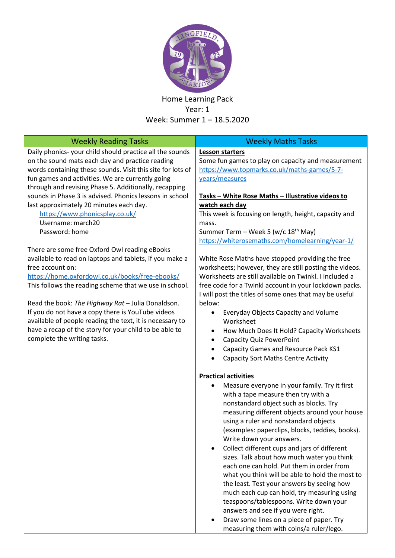

## Home Learning Pack Year: 1 Week: Summer 1 – 18.5.2020

| <b>Weekly Reading Tasks</b>                                                                                                                                                                                                                                                                                                                                                                                                                             | <b>Weekly Maths Tasks</b>                                                                                                                                                                                                                                                                                                                                                                                                                                                                                                                                                                                                                                                                                                                                                                                     |
|---------------------------------------------------------------------------------------------------------------------------------------------------------------------------------------------------------------------------------------------------------------------------------------------------------------------------------------------------------------------------------------------------------------------------------------------------------|---------------------------------------------------------------------------------------------------------------------------------------------------------------------------------------------------------------------------------------------------------------------------------------------------------------------------------------------------------------------------------------------------------------------------------------------------------------------------------------------------------------------------------------------------------------------------------------------------------------------------------------------------------------------------------------------------------------------------------------------------------------------------------------------------------------|
| Daily phonics-your child should practice all the sounds<br>on the sound mats each day and practice reading<br>words containing these sounds. Visit this site for lots of<br>fun games and activities. We are currently going<br>through and revising Phase 5. Additionally, recapping                                                                                                                                                                   | <b>Lesson starters</b><br>Some fun games to play on capacity and measurement<br>https://www.topmarks.co.uk/maths-games/5-7-<br>years/measures                                                                                                                                                                                                                                                                                                                                                                                                                                                                                                                                                                                                                                                                 |
| sounds in Phase 3 is advised. Phonics lessons in school<br>last approximately 20 minutes each day.<br>https://www.phonicsplay.co.uk/<br>Username: march20<br>Password: home                                                                                                                                                                                                                                                                             | Tasks - White Rose Maths - Illustrative videos to<br>watch each day<br>This week is focusing on length, height, capacity and<br>mass.<br>Summer Term - Week 5 (w/c 18 <sup>th</sup> May)                                                                                                                                                                                                                                                                                                                                                                                                                                                                                                                                                                                                                      |
| There are some free Oxford Owl reading eBooks                                                                                                                                                                                                                                                                                                                                                                                                           | https://whiterosemaths.com/homelearning/year-1/                                                                                                                                                                                                                                                                                                                                                                                                                                                                                                                                                                                                                                                                                                                                                               |
| available to read on laptops and tablets, if you make a<br>free account on:<br>https://home.oxfordowl.co.uk/books/free-ebooks/<br>This follows the reading scheme that we use in school.<br>Read the book: The Highway Rat - Julia Donaldson.<br>If you do not have a copy there is YouTube videos<br>available of people reading the text, it is necessary to<br>have a recap of the story for your child to be able to<br>complete the writing tasks. | White Rose Maths have stopped providing the free<br>worksheets; however, they are still posting the videos.<br>Worksheets are still available on Twinkl. I included a<br>free code for a Twinkl account in your lockdown packs.<br>I will post the titles of some ones that may be useful<br>below:<br>Everyday Objects Capacity and Volume<br>Worksheet<br>How Much Does It Hold? Capacity Worksheets<br>٠<br><b>Capacity Quiz PowerPoint</b><br>٠<br>Capacity Games and Resource Pack KS1<br><b>Capacity Sort Maths Centre Activity</b>                                                                                                                                                                                                                                                                     |
|                                                                                                                                                                                                                                                                                                                                                                                                                                                         | <b>Practical activities</b><br>Measure everyone in your family. Try it first<br>٠<br>with a tape measure then try with a<br>nonstandard object such as blocks. Try<br>measuring different objects around your house<br>using a ruler and nonstandard objects<br>(examples: paperclips, blocks, teddies, books).<br>Write down your answers.<br>Collect different cups and jars of different<br>sizes. Talk about how much water you think<br>each one can hold. Put them in order from<br>what you think will be able to hold the most to<br>the least. Test your answers by seeing how<br>much each cup can hold, try measuring using<br>teaspoons/tablespoons. Write down your<br>answers and see if you were right.<br>Draw some lines on a piece of paper. Try<br>measuring them with coins/a ruler/lego. |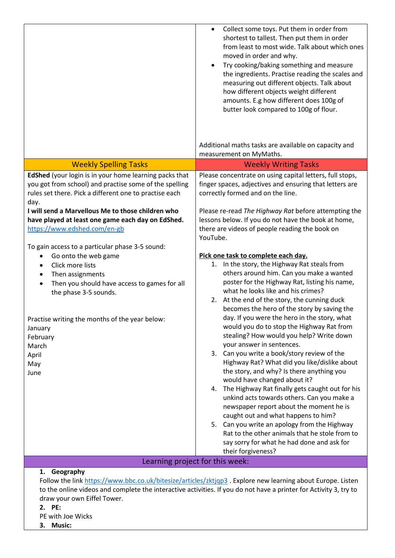|                                                                                                                                                                                                                                                                                 | Collect some toys. Put them in order from<br>$\bullet$<br>shortest to tallest. Then put them in order<br>from least to most wide. Talk about which ones<br>moved in order and why.<br>Try cooking/baking something and measure<br>the ingredients. Practise reading the scales and<br>measuring out different objects. Talk about<br>how different objects weight different<br>amounts. E.g how different does 100g of<br>butter look compared to 100g of flour.<br>Additional maths tasks are available on capacity and                                                                                                                                                                                   |
|---------------------------------------------------------------------------------------------------------------------------------------------------------------------------------------------------------------------------------------------------------------------------------|------------------------------------------------------------------------------------------------------------------------------------------------------------------------------------------------------------------------------------------------------------------------------------------------------------------------------------------------------------------------------------------------------------------------------------------------------------------------------------------------------------------------------------------------------------------------------------------------------------------------------------------------------------------------------------------------------------|
| <b>Weekly Spelling Tasks</b>                                                                                                                                                                                                                                                    | measurement on MyMaths.<br><b>Weekly Writing Tasks</b>                                                                                                                                                                                                                                                                                                                                                                                                                                                                                                                                                                                                                                                     |
| EdShed (your login is in your home learning packs that<br>you got from school) and practise some of the spelling<br>rules set there. Pick a different one to practise each<br>day.<br>I will send a Marvellous Me to those children who                                         | Please concentrate on using capital letters, full stops,<br>finger spaces, adjectives and ensuring that letters are<br>correctly formed and on the line.<br>Please re-read The Highway Rat before attempting the                                                                                                                                                                                                                                                                                                                                                                                                                                                                                           |
| have played at least one game each day on EdShed.<br>https://www.edshed.com/en-gb<br>To gain access to a particular phase 3-5 sound:                                                                                                                                            | lessons below. If you do not have the book at home,<br>there are videos of people reading the book on<br>YouTube.                                                                                                                                                                                                                                                                                                                                                                                                                                                                                                                                                                                          |
| Go onto the web game<br>٠<br>Click more lists<br>Then assignments<br>Then you should have access to games for all<br>$\bullet$<br>the phase 3-5 sounds.                                                                                                                         | Pick one task to complete each day.<br>1. In the story, the Highway Rat steals from<br>others around him. Can you make a wanted<br>poster for the Highway Rat, listing his name,<br>what he looks like and his crimes?<br>2. At the end of the story, the cunning duck<br>becomes the hero of the story by saving the                                                                                                                                                                                                                                                                                                                                                                                      |
| Practise writing the months of the year below:<br>January<br>February<br>March<br>April<br>May<br>June                                                                                                                                                                          | day. If you were the hero in the story, what<br>would you do to stop the Highway Rat from<br>stealing? How would you help? Write down<br>your answer in sentences.<br>3. Can you write a book/story review of the<br>Highway Rat? What did you like/dislike about<br>the story, and why? Is there anything you<br>would have changed about it?<br>4. The Highway Rat finally gets caught out for his<br>unkind acts towards others. Can you make a<br>newspaper report about the moment he is<br>caught out and what happens to him?<br>5. Can you write an apology from the Highway<br>Rat to the other animals that he stole from to<br>say sorry for what he had done and ask for<br>their forgiveness? |
| Learning project for this week:                                                                                                                                                                                                                                                 |                                                                                                                                                                                                                                                                                                                                                                                                                                                                                                                                                                                                                                                                                                            |
| 1. Geography<br>Follow the link https://www.bbc.co.uk/bitesize/articles/zktjqp3 . Explore new learning about Europe. Listen<br>to the online videos and complete the interactive activities. If you do not have a printer for Activity 3, try to<br>draw your own Eiffel Tower. |                                                                                                                                                                                                                                                                                                                                                                                                                                                                                                                                                                                                                                                                                                            |

**2. PE:**

PE with Joe Wicks

**3. Music:**